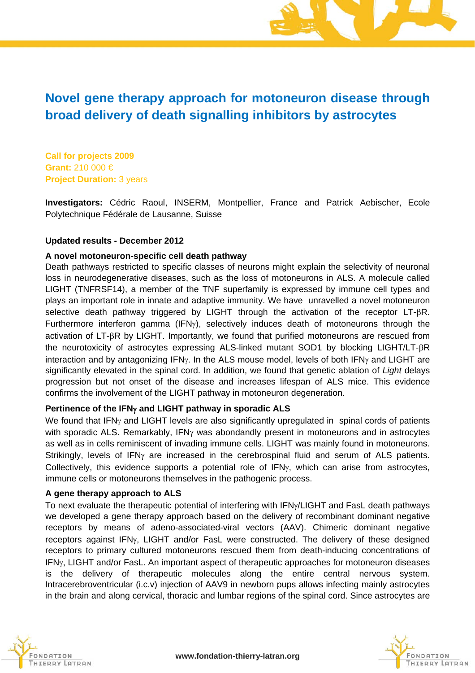# **Novel gene therapy approach for motoneuron disease through broad delivery of death signalling inhibitors by astrocytes**

**Call for projects 2009 Grant:** 210 000 € **Project Duration:** 3 years

**Investigators:** Cédric Raoul, INSERM, Montpellier, France and Patrick Aebischer, Ecole Polytechnique Fédérale de Lausanne, Suisse

### **Updated results - December 2012**

#### **A novel motoneuron-specific cell death pathway**

Death pathways restricted to specific classes of neurons might explain the selectivity of neuronal loss in neurodegenerative diseases, such as the loss of motoneurons in ALS. A molecule called LIGHT (TNFRSF14), a member of the TNF superfamily is expressed by immune cell types and plays an important role in innate and adaptive immunity. We have unravelled a novel motoneuron selective death pathway triggered by LIGHT through the activation of the receptor  $LT$ - $\beta$ R. Furthermore interferon gamma (IFN $\gamma$ ), selectively induces death of motoneurons through the activation of  $LT$ - $\beta$ R by LIGHT. Importantly, we found that purified motoneurons are rescued from the neurotoxicity of astrocytes expressing ALS-linked mutant SOD1 by blocking LIGHT/LT-R interaction and by antagonizing  $IFN<sub>Y</sub>$ . In the ALS mouse model, levels of both IFN<sub>Y</sub> and LIGHT are significantly elevated in the spinal cord. In addition, we found that genetic ablation of *Light* delays progression but not onset of the disease and increases lifespan of ALS mice. This evidence confirms the involvement of the LIGHT pathway in motoneuron degeneration.

### **Pertinence of the IFN and LIGHT pathway in sporadic ALS**

We found that IFN $\gamma$  and LIGHT levels are also significantly upregulated in spinal cords of patients with sporadic ALS. Remarkably,  $IFN<sub>Y</sub>$  was abondandly present in motoneurons and in astrocytes as well as in cells reminiscent of invading immune cells. LIGHT was mainly found in motoneurons. Strikingly, levels of IFN $\gamma$  are increased in the cerebrospinal fluid and serum of ALS patients. Collectively, this evidence supports a potential role of  $IFN<sub>Y</sub>$ , which can arise from astrocytes, immune cells or motoneurons themselves in the pathogenic process.

#### **A gene therapy approach to ALS**

To next evaluate the therapeutic potential of interfering with IFN $\gamma$ LIGHT and FasL death pathways we developed a gene therapy approach based on the delivery of recombinant dominant negative receptors by means of adeno-associated-viral vectors (AAV). Chimeric dominant negative receptors against IFN<sub>Y</sub>, LIGHT and/or FasL were constructed. The delivery of these designed receptors to primary cultured motoneurons rescued them from death-inducing concentrations of IFN<sub>Y</sub>, LIGHT and/or FasL. An important aspect of therapeutic approaches for motoneuron diseases is the delivery of therapeutic molecules along the entire central nervous system. Intracerebroventricular (i.c.v) injection of AAV9 in newborn pups allows infecting mainly astrocytes in the brain and along cervical, thoracic and lumbar regions of the spinal cord. Since astrocytes are



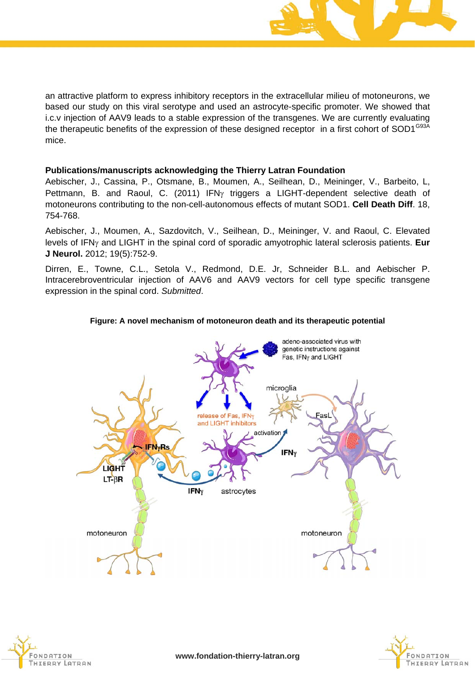

an attractive platform to express inhibitory receptors in the extracellular milieu of motoneurons, we based our study on this viral serotype and used an astrocyte-specific promoter. We showed that i.c.v injection of AAV9 leads to a stable expression of the transgenes. We are currently evaluating the therapeutic benefits of the expression of these designed receptor in a first cohort of SOD1<sup>G93A</sup> mice.

### **Publications/manuscripts acknowledging the Thierry Latran Foundation**

Aebischer, J., Cassina, P., Otsmane, B., Moumen, A., Seilhean, D., Meininger, V., Barbeito, L, Pettmann, B. and Raoul, C. (2011) IFN<sub>Y</sub> triggers a LIGHT-dependent selective death of motoneurons contributing to the non-cell-autonomous effects of mutant SOD1. **Cell Death Diff**. 18, 754-768.

Aebischer, J., Moumen, A., Sazdovitch, V., Seilhean, D., Meininger, V. and Raoul, C. Elevated levels of IFN<sub>Y</sub> and LIGHT in the spinal cord of sporadic amyotrophic lateral sclerosis patients. **Eur J Neurol.** 2012; 19(5):752-9.

Dirren, E., Towne, C.L., Setola V., Redmond, D.E. Jr, Schneider B.L. and Aebischer P. Intracerebroventricular injection of AAV6 and AAV9 vectors for cell type specific transgene expression in the spinal cord. *Submitted*.